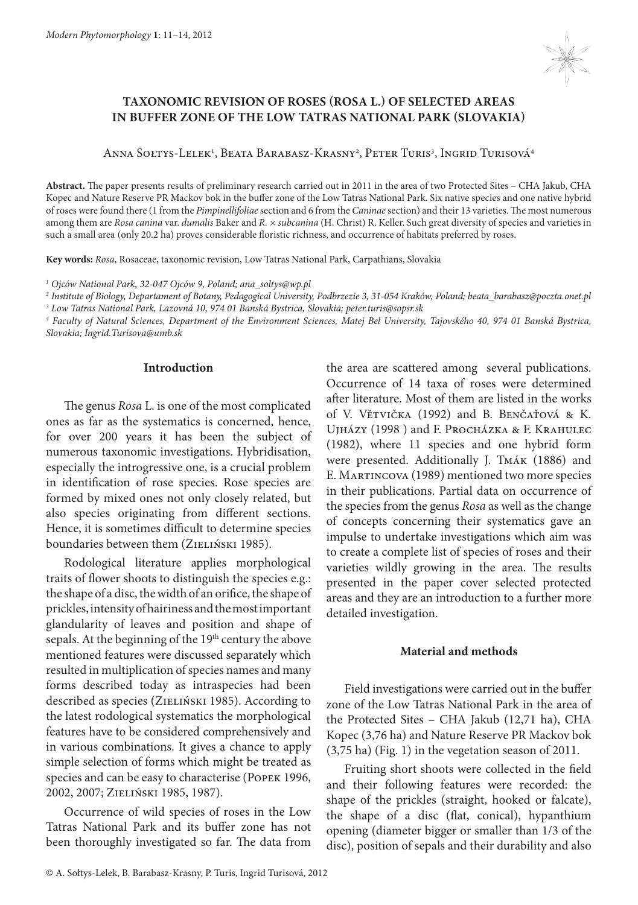

## **TAXONOMIC REVISION OF ROSES (ROSA L.) OF SELECTED AREAS IN BUFFER ZONE OF THE LOW TATRAS NATIONAL PARK (SLOVAKIA)**

Anna Sołtys-Lelek<sup>1</sup>, Beata Barabasz-Krasny<sup>2</sup>, Peter Turis<sup>3</sup>, Ingrid Turisová<sup>4</sup>

**Abstract.** The paper presents results of preliminary research carried out in 2011 in the area of two Protected Sites – CHA Jakub, CHA Kopec and Nature Reserve PR Mackov bok in the buffer zone of the Low Tatras National Park. Six native species and one native hybrid of roses were found there (1 from the *Pimpinellifoliae* section and 6 from the *Caninae* section) and their 13 varieties. The most numerous among them are *Rosa canina* var. *dumalis* Baker and *R. × subcanina* (H. Christ) R. Keller. Such great diversity of species and varieties in such a small area (only 20.2 ha) proves considerable floristic richness, and occurrence of habitats preferred by roses.

**Key words:** *Rosa*, Rosaceae, taxonomic revision, Low Tatras National Park, Carpathians, Slovakia

*1 Ojców National Park, 32-047 Ojców 9, Poland; ana\_soltys@wp.pl*

*2 Institute of Biology, Departament of Botany, Pedagogical University, Podbrzezie 3, 31-054 Kraków, Poland; beata\_barabasz@poczta.onet.pl*

*3 Low Tatras National Park, Lazovná 10, 974 01 Banská Bystrica, Slovakia; peter.turis@sopsr.sk 4 Faculty of Natural Sciences, Department of the Environment Sciences, Matej Bel University, Tajovského 40, 974 01 Banská Bystrica,* 

*Slovakia; Ingrid.Turisova@umb.sk*

## **Introduction**

The genus *Rosa* L. is one of the most complicated ones as far as the systematics is concerned, hence, for over 200 years it has been the subject of numerous taxonomic investigations. Hybridisation, especially the introgressive one, is a crucial problem in identification of rose species. Rose species are formed by mixed ones not only closely related, but also species originating from different sections. Hence, it is sometimes difficult to determine species boundaries between them (ZIELIŃSKI 1985).

Rodological literature applies morphological traits of flower shoots to distinguish the species e.g.: the shape of a disc, the width of an orifice, the shape of prickles, intensity of hairiness and the most important glandularity of leaves and position and shape of sepals. At the beginning of the  $19<sup>th</sup>$  century the above mentioned features were discussed separately which resulted in multiplication of species names and many forms described today as intraspecies had been described as species (ZIELIŃSKI 1985). According to the latest rodological systematics the morphological features have to be considered comprehensively and in various combinations. It gives a chance to apply simple selection of forms which might be treated as species and can be easy to characterise (POPEK 1996, 2002, 2007; Zieliński 1985, 1987).

Occurrence of wild species of roses in the Low Tatras National Park and its buffer zone has not been thoroughly investigated so far. The data from the area are scattered among several publications. Occurrence of 14 taxa of roses were determined after literature. Most of them are listed in the works of V. Vĕtvička (1992) and B. Benčaťová & K. Ujházy (1998 ) and F. Procházka & F. Krahulec (1982), where 11 species and one hybrid form were presented. Additionally J. Tmák (1886) and E. Martincova (1989) mentioned two more species in their publications. Partial data on occurrence of the species from the genus *Rosa* as well as the change of concepts concerning their systematics gave an impulse to undertake investigations which aim was to create a complete list of species of roses and their varieties wildly growing in the area. The results presented in the paper cover selected protected areas and they are an introduction to a further more detailed investigation.

### **Material and methods**

Field investigations were carried out in the buffer zone of the Low Tatras National Park in the area of the Protected Sites – CHA Jakub (12,71 ha), CHA Kopec (3,76 ha) and Nature Reserve PR Mackov bok (3,75 ha) (Fig. 1) in the vegetation season of 2011.

Fruiting short shoots were collected in the field and their following features were recorded: the shape of the prickles (straight, hooked or falcate), the shape of a disc (flat, conical), hypanthium opening (diameter bigger or smaller than 1/3 of the disc), position of sepals and their durability and also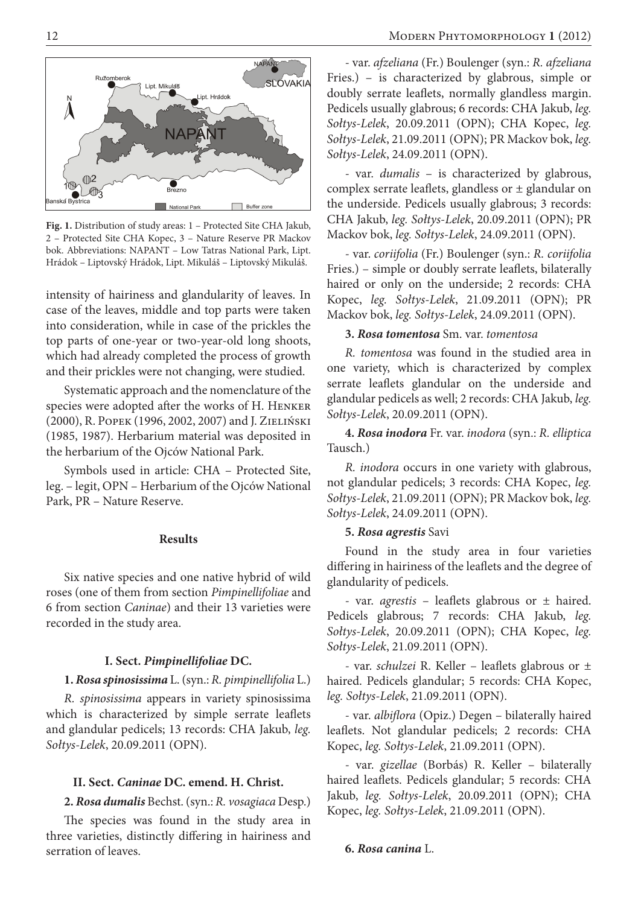

**Fig. 1.** Distribution of study areas: 1 – Protected Site CHA Jakub, 2 – Protected Site CHA Kopec, 3 – Nature Reserve PR Mackov bok. Abbreviations: NAPANT – Low Tatras National Park, Lipt. Hrádok – Liptovský Hrádok, Lipt. Mikuláš – Liptovský Mikuláš.

intensity of hairiness and glandularity of leaves. In case of the leaves, middle and top parts were taken into consideration, while in case of the prickles the top parts of one-year or two-year-old long shoots, which had already completed the process of growth and their prickles were not changing, were studied.

Systematic approach and the nomenclature of the species were adopted after the works of H. Henker (2000), R. Popek (1996, 2002, 2007) and J. Zieliński (1985, 1987). Herbarium material was deposited in the herbarium of the Ojców National Park.

Symbols used in article: CHA – Protected Site, leg. – legit, OPN – Herbarium of the Ojców National Park, PR – Nature Reserve.

### **Results**

Six native species and one native hybrid of wild roses (one of them from section *Pimpinellifoliae* and 6 from section *Caninae*) and their 13 varieties were recorded in the study area.

## **I. Sect.** *Pimpinellifoliae* **DC.**

## **1.** *Rosa spinosissima* L. (syn.: *R. pimpinellifolia* L.)

*R. spinosissima* appears in variety spinosissima which is characterized by simple serrate leaflets and glandular pedicels; 13 records: CHA Jakub, *leg. Sołtys-Lelek*, 20.09.2011 (OPN).

# **II. Sect.** *Caninae* **DC. emend. H. Christ.**

#### **2.** *Rosa dumalis* Bechst. (syn.: *R. vosagiaca* Desp.)

The species was found in the study area in three varieties, distinctly differing in hairiness and serration of leaves.

- var. *afzeliana* (Fr.) Boulenger (syn.: *R. afzeliana*  Fries.) – is characterized by glabrous, simple or doubly serrate leaflets, normally glandless margin. Pedicels usually glabrous; 6 records: CHA Jakub, *leg. Sołtys-Lelek*, 20.09.2011 (OPN); CHA Kopec, *leg. Sołtys-Lelek*, 21.09.2011 (OPN); PR Mackov bok, *leg. Sołtys-Lelek*, 24.09.2011 (OPN).

- var. *dumalis* – is characterized by glabrous, complex serrate leaflets, glandless or  $\pm$  glandular on the underside. Pedicels usually glabrous; 3 records: CHA Jakub, *leg. Sołtys-Lelek*, 20.09.2011 (OPN); PR Mackov bok, *leg. Sołtys-Lelek*, 24.09.2011 (OPN).

- var. *coriifolia* (Fr.) Boulenger (syn.: *R. coriifolia*  Fries.) – simple or doubly serrate leaflets, bilaterally haired or only on the underside; 2 records: CHA Kopec, *leg. Sołtys-Lelek*, 21.09.2011 (OPN); PR Mackov bok, *leg. Sołtys-Lelek*, 24.09.2011 (OPN).

## **3.** *Rosa tomentosa* Sm. var. *tomentosa*

*R. tomentosa* was found in the studied area in one variety, which is characterized by complex serrate leaflets glandular on the underside and glandular pedicels as well; 2 records: CHA Jakub, *leg. Sołtys-Lelek*, 20.09.2011 (OPN).

**4.** *Rosa inodora* Fr. var. *inodora* (syn.: *R. elliptica*  Tausch.)

*R. inodora* occurs in one variety with glabrous, not glandular pedicels; 3 records: CHA Kopec, *leg. Sołtys-Lelek*, 21.09.2011 (OPN); PR Mackov bok, *leg. Sołtys-Lelek*, 24.09.2011 (OPN).

## **5.** *Rosa agrestis* Savi

Found in the study area in four varieties differing in hairiness of the leaflets and the degree of glandularity of pedicels.

- var. *agrestis* – leaflets glabrous or ± haired. Pedicels glabrous; 7 records: CHA Jakub, *leg. Sołtys-Lelek*, 20.09.2011 (OPN); CHA Kopec, *leg. Sołtys-Lelek*, 21.09.2011 (OPN).

- var. *schulzei* R. Keller – leaflets glabrous or ± haired. Pedicels glandular; 5 records: CHA Kopec, *leg. Sołtys-Lelek*, 21.09.2011 (OPN).

- var. *albiflora* (Opiz.) Degen – bilaterally haired leaflets. Not glandular pedicels; 2 records: CHA Kopec, *leg. Sołtys-Lelek*, 21.09.2011 (OPN).

- var. *gizellae* (Borbás) R. Keller – bilaterally haired leaflets. Pedicels glandular; 5 records: CHA Jakub, *leg. Sołtys-Lelek*, 20.09.2011 (OPN); CHA Kopec, *leg. Sołtys-Lelek*, 21.09.2011 (OPN).

## **6.** *Rosa canina* L.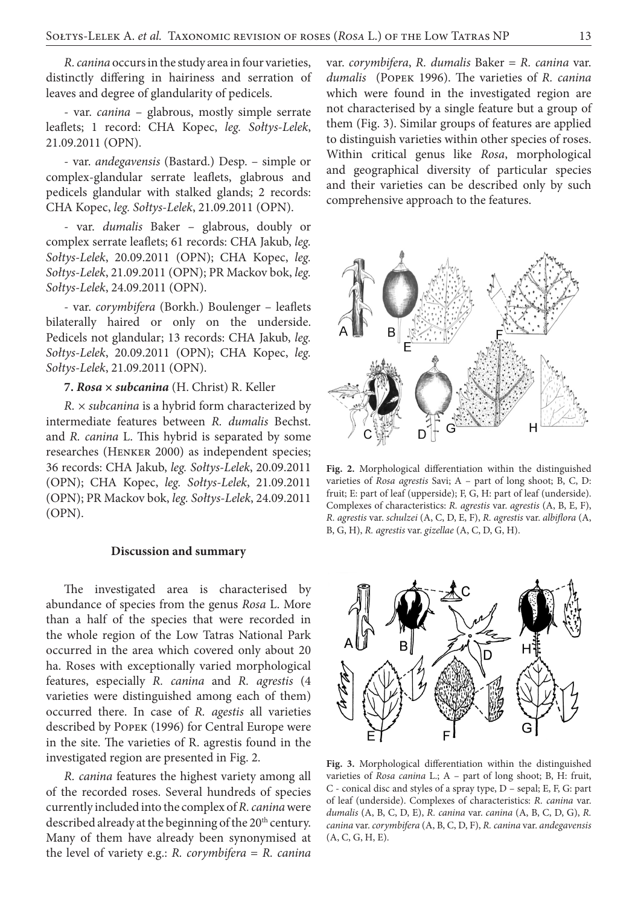*R. canina* occurs in the study area in four varieties, distinctly differing in hairiness and serration of leaves and degree of glandularity of pedicels.

- var. *canina* – glabrous, mostly simple serrate leaflets; 1 record: CHA Kopec, *leg. Sołtys-Lelek*, 21.09.2011 (OPN).

- var. *andegavensis* (Bastard.) Desp. – simple or complex-glandular serrate leaflets, glabrous and pedicels glandular with stalked glands; 2 records: CHA Kopec, *leg. Sołtys-Lelek*, 21.09.2011 (OPN).

- var. *dumalis* Baker – glabrous, doubly or complex serrate leaflets; 61 records: CHA Jakub, *leg. Sołtys-Lelek*, 20.09.2011 (OPN); CHA Kopec, *leg. Sołtys-Lelek*, 21.09.2011 (OPN); PR Mackov bok, *leg. Sołtys-Lelek*, 24.09.2011 (OPN).

- var. *corymbifera* (Borkh.) Boulenger – leaflets bilaterally haired or only on the underside. Pedicels not glandular; 13 records: CHA Jakub, *leg. Sołtys-Lelek*, 20.09.2011 (OPN); CHA Kopec, *leg. Sołtys-Lelek*, 21.09.2011 (OPN).

**7.** *Rosa × subcanina* (H. Christ) R. Keller

*R. × subcanina* is a hybrid form characterized by intermediate features between *R. dumalis* Bechst. and *R. canina* L. This hybrid is separated by some researches (Henker 2000) as independent species; 36 records: CHA Jakub, *leg. Sołtys-Lelek*, 20.09.2011 (OPN); CHA Kopec, *leg. Sołtys-Lelek*, 21.09.2011 (OPN); PR Mackov bok, *leg. Sołtys-Lelek*, 24.09.2011 (OPN).

#### **Discussion and summary**

The investigated area is characterised by abundance of species from the genus *Rosa* L. More than a half of the species that were recorded in the whole region of the Low Tatras National Park occurred in the area which covered only about 20 ha. Roses with exceptionally varied morphological features, especially *R. canina* and *R. agrestis* (4 varieties were distinguished among each of them) occurred there. In case of *R. agestis* all varieties described by Popek (1996) for Central Europe were in the site. The varieties of R. agrestis found in the investigated region are presented in Fig. 2.

*R. canina* features the highest variety among all of the recorded roses. Several hundreds of species currently included into the complex of *R. canina* were described already at the beginning of the 20<sup>th</sup> century. Many of them have already been synonymised at the level of variety e.g.: *R. corymbifera* = *R. canina*

var. *corymbifera*, *R. dumalis* Baker = *R. canina* var. *dumalis* (Popek 1996). The varieties of *R. canina*  which were found in the investigated region are not characterised by a single feature but a group of them (Fig. 3). Similar groups of features are applied to distinguish varieties within other species of roses. Within critical genus like *Rosa*, morphological and geographical diversity of particular species and their varieties can be described only by such comprehensive approach to the features.



**Fig. 2.** Morphological differentiation within the distinguished varieties of *Rosa agrestis* Savi; A – part of long shoot; B, C, D: fruit; E: part of leaf (upperside); F, G, H: part of leaf (underside). Complexes of characteristics: *R. agrestis* var. *agrestis* (A, B, E, F), *R. agrestis* var. *schulzei* (A, C, D, E, F), *R. agrestis* var. *albiflora* (A, B, G, H), *R. agrestis* var. *gizellae* (A, C, D, G, H).



**Fig. 3.** Morphological differentiation within the distinguished varieties of *Rosa canina* L.; A – part of long shoot; B, H: fruit, C - conical disc and styles of a spray type, D – sepal; E, F, G: part of leaf (underside). Complexes of characteristics: *R. canina* var. *dumalis* (A, B, C, D, E), *R. canina* var. *canina* (A, B, C, D, G), *R. canina* var. *corymbifera* (A, B, C, D, F), *R. canina* var. *andegavensis* (A, C, G, H, E).